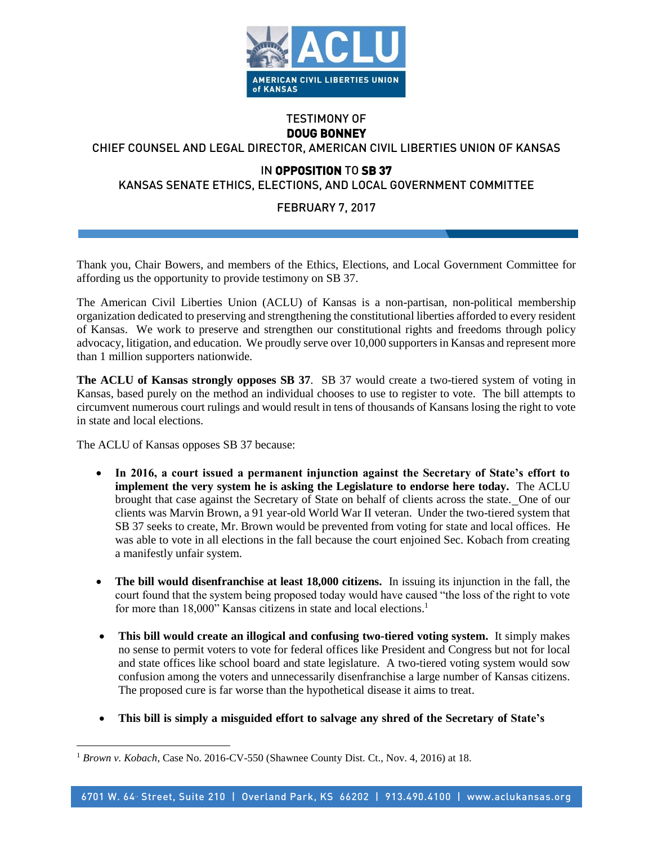

## TESTIMONY OF **DOUG BONNEY**

## CHIEF COUNSEL AND LEGAL DIRECTOR, AMERICAN CIVIL LIBERTIES UNION OF KANSAS

## IN **OPPOSITION** TO **SB 37**

KANSAS SENATE ETHICS, ELECTIONS, AND LOCAL GOVERNMENT COMMITTEE

## FEBRUARY 7, 2017

Thank you, Chair Bowers, and members of the Ethics, Elections, and Local Government Committee for affording us the opportunity to provide testimony on SB 37.

The American Civil Liberties Union (ACLU) of Kansas is a non-partisan, non-political membership organization dedicated to preserving and strengthening the constitutional liberties afforded to every resident of Kansas. We work to preserve and strengthen our constitutional rights and freedoms through policy advocacy, litigation, and education. We proudly serve over 10,000 supporters in Kansas and represent more than 1 million supporters nationwide.

**The ACLU of Kansas strongly opposes SB 37**. SB 37 would create a two-tiered system of voting in Kansas, based purely on the method an individual chooses to use to register to vote. The bill attempts to circumvent numerous court rulings and would result in tens of thousands of Kansans losing the right to vote in state and local elections.

The ACLU of Kansas opposes SB 37 because:

 $\overline{a}$ 

- **In 2016, a court issued a permanent injunction against the Secretary of State's effort to implement the very system he is asking the Legislature to endorse here today.** The ACLU brought that case against the Secretary of State on behalf of clients across the state. One of our clients was Marvin Brown, a 91 year-old World War II veteran. Under the two-tiered system that SB 37 seeks to create, Mr. Brown would be prevented from voting for state and local offices. He was able to vote in all elections in the fall because the court enjoined Sec. Kobach from creating a manifestly unfair system.
- **The bill would disenfranchise at least 18,000 citizens.** In issuing its injunction in the fall, the court found that the system being proposed today would have caused "the loss of the right to vote for more than 18,000" Kansas citizens in state and local elections.<sup>1</sup>
- **This bill would create an illogical and confusing two-tiered voting system.** It simply makes no sense to permit voters to vote for federal offices like President and Congress but not for local and state offices like school board and state legislature. A two-tiered voting system would sow confusion among the voters and unnecessarily disenfranchise a large number of Kansas citizens. The proposed cure is far worse than the hypothetical disease it aims to treat.
- **This bill is simply a misguided effort to salvage any shred of the Secretary of State's**

<sup>&</sup>lt;sup>1</sup> Brown v. Kobach, Case No. 2016-CV-550 (Shawnee County Dist. Ct., Nov. 4, 2016) at 18.